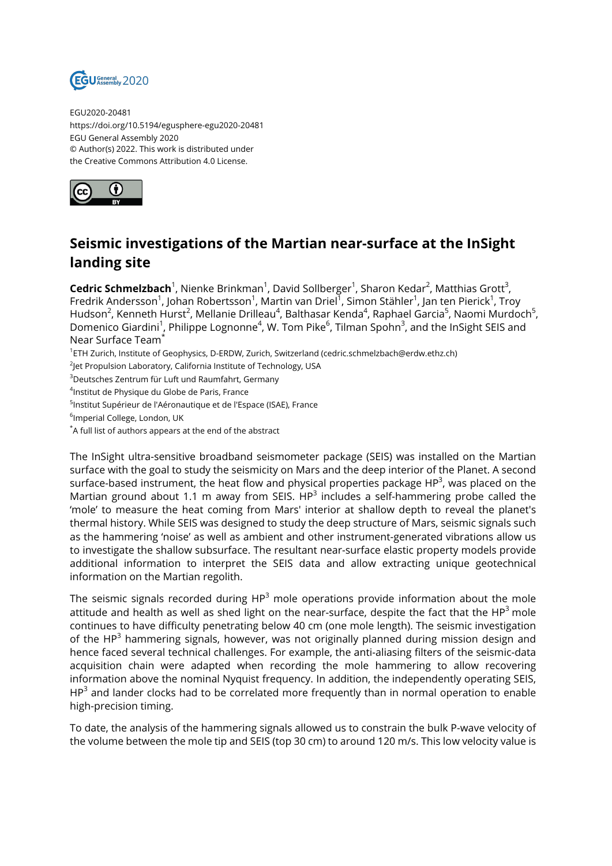

EGU2020-20481 https://doi.org/10.5194/egusphere-egu2020-20481 EGU General Assembly 2020 © Author(s) 2022. This work is distributed under the Creative Commons Attribution 4.0 License.



## **Seismic investigations of the Martian near-surface at the InSight landing site**

**Cedric Schmelzbach**<sup>1</sup>, Nienke Brinkman<sup>1</sup>, David Sollberger<sup>1</sup>, Sharon Kedar<sup>2</sup>, Matthias Grott<sup>3</sup>, Fredrik Andersson<sup>1</sup>, Johan Robertsson<sup>1</sup>, Martin van Driel<sup>1</sup>, Simon Stähler<sup>1</sup>, Jan ten Pierick<sup>1</sup>, Troy Hudson<sup>2</sup>, Kenneth Hurst<sup>2</sup>, Mellanie Drilleau<sup>4</sup>, Balthasar Kenda<sup>4</sup>, Raphael Garcia<sup>5</sup>, Naomi Murdoch<sup>5</sup>, Domenico Giardini<sup>1</sup>, Philippe Lognonne<sup>4</sup>, W. Tom Pike<sup>6</sup>, Tilman Spohn<sup>3</sup>, and the InSight SEIS and Near Surface Team\*

1 ETH Zurich, Institute of Geophysics, D-ERDW, Zurich, Switzerland (cedric.schmelzbach@erdw.ethz.ch)

 $^{2}$ Jet Propulsion Laboratory, California Institute of Technology, USA

<sup>3</sup>Deutsches Zentrum für Luft und Raumfahrt, Germany

4 Institut de Physique du Globe de Paris, France

<sup>5</sup>lnstitut Supérieur de l'Aéronautique et de l'Espace (ISAE), France

 $^6$ Imperial College, London, UK

\*A full list of authors appears at the end of the abstract

The InSight ultra-sensitive broadband seismometer package (SEIS) was installed on the Martian surface with the goal to study the seismicity on Mars and the deep interior of the Planet. A second surface-based instrument, the heat flow and physical properties package HP<sup>3</sup>, was placed on the Martian ground about 1.1 m away from SEIS.  $HP^3$  includes a self-hammering probe called the 'mole' to measure the heat coming from Mars' interior at shallow depth to reveal the planet's thermal history. While SEIS was designed to study the deep structure of Mars, seismic signals such as the hammering 'noise' as well as ambient and other instrument-generated vibrations allow us to investigate the shallow subsurface. The resultant near-surface elastic property models provide additional information to interpret the SEIS data and allow extracting unique geotechnical information on the Martian regolith.

The seismic signals recorded during  $HP<sup>3</sup>$  mole operations provide information about the mole attitude and health as well as shed light on the near-surface, despite the fact that the  $HP^3$  mole continues to have difficulty penetrating below 40 cm (one mole length). The seismic investigation of the HP<sup>3</sup> hammering signals, however, was not originally planned during mission design and hence faced several technical challenges. For example, the anti-aliasing filters of the seismic-data acquisition chain were adapted when recording the mole hammering to allow recovering information above the nominal Nyquist frequency. In addition, the independently operating SEIS,  $HP^3$  and lander clocks had to be correlated more frequently than in normal operation to enable high-precision timing.

To date, the analysis of the hammering signals allowed us to constrain the bulk P-wave velocity of the volume between the mole tip and SEIS (top 30 cm) to around 120 m/s. This low velocity value is